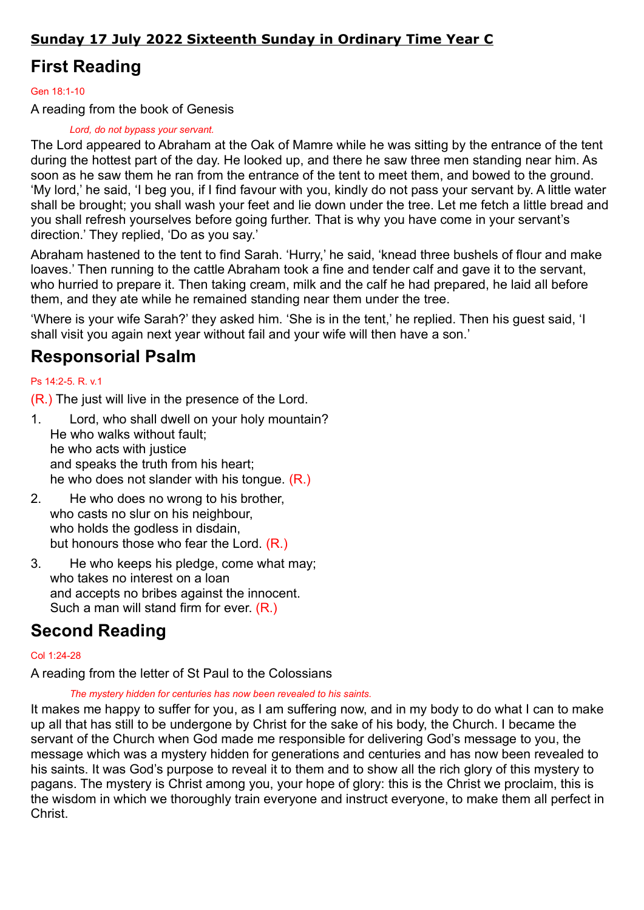### Sunday 17 July 2022 Sixteenth Sunday in Ordinary Time Year C

## First Reading

### Gen 18:1-10

A reading from the book of Genesis

### Lord, do not bypass your servant.

The Lord appeared to Abraham at the Oak of Mamre while he was sitting by the entrance of the tent during the hottest part of the day. He looked up, and there he saw three men standing near him. As soon as he saw them he ran from the entrance of the tent to meet them, and bowed to the ground. 'My lord,' he said, 'I beg you, if I find favour with you, kindly do not pass your servant by. A little water shall be brought; you shall wash your feet and lie down under the tree. Let me fetch a little bread and you shall refresh yourselves before going further. That is why you have come in your servant's direction.' They replied, 'Do as you say.'

Abraham hastened to the tent to find Sarah. 'Hurry,' he said, 'knead three bushels of flour and make loaves.' Then running to the cattle Abraham took a fine and tender calf and gave it to the servant, who hurried to prepare it. Then taking cream, milk and the calf he had prepared, he laid all before them, and they ate while he remained standing near them under the tree.

'Where is your wife Sarah?' they asked him. 'She is in the tent,' he replied. Then his guest said, 'I shall visit you again next year without fail and your wife will then have a son.'

### Responsorial Psalm

### Ps 14:2-5. R. v.1

(R.) The just will live in the presence of the Lord.

- 1. Lord, who shall dwell on your holy mountain? He who walks without fault; he who acts with justice and speaks the truth from his heart; he who does not slander with his tongue. (R.)
- 2. He who does no wrong to his brother, who casts no slur on his neighbour, who holds the godless in disdain, but honours those who fear the Lord. (R.)
- 3. He who keeps his pledge, come what may; who takes no interest on a loan and accepts no bribes against the innocent. Such a man will stand firm for ever. (R.)

## Second Reading

#### Col 1:24-28

A reading from the letter of St Paul to the Colossians

The mystery hidden for centuries has now been revealed to his saints.

It makes me happy to suffer for you, as I am suffering now, and in my body to do what I can to make up all that has still to be undergone by Christ for the sake of his body, the Church. I became the servant of the Church when God made me responsible for delivering God's message to you, the message which was a mystery hidden for generations and centuries and has now been revealed to his saints. It was God's purpose to reveal it to them and to show all the rich glory of this mystery to pagans. The mystery is Christ among you, your hope of glory: this is the Christ we proclaim, this is the wisdom in which we thoroughly train everyone and instruct everyone, to make them all perfect in Christ.